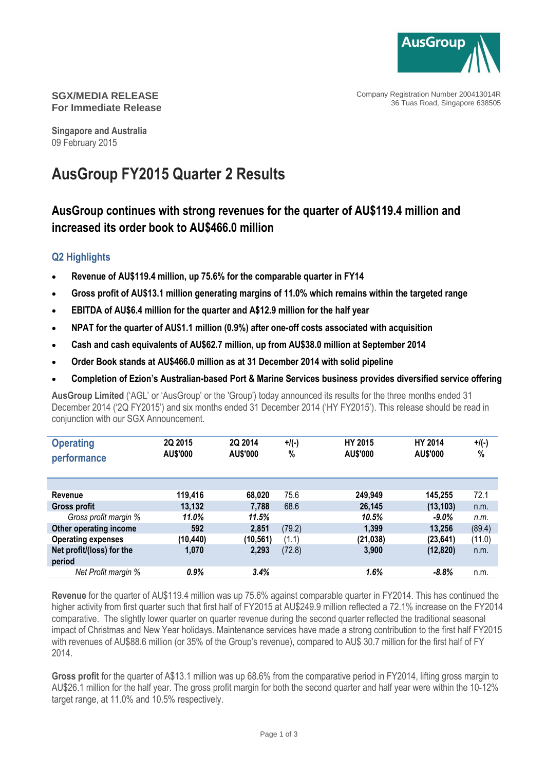

Company Registration Number 200413014R 36 Tuas Road, Singapore 638505

#### **SGX/MEDIA RELEASE For Immediate Release**

**Singapore and Australia** 09 February 2015

# **AusGroup FY2015 Quarter 2 Results**

## **AusGroup continues with strong revenues for the quarter of AU\$119.4 million and increased its order book to AU\$466.0 million**

### **Q2 Highlights**

- **Revenue of AU\$119.4 million, up 75.6% for the comparable quarter in FY14**
- **Gross profit of AU\$13.1 million generating margins of 11.0% which remains within the targeted range**
- **EBITDA of AU\$6.4 million for the quarter and A\$12.9 million for the half year**
- **NPAT for the quarter of AU\$1.1 million (0.9%) after one-off costs associated with acquisition**
- **Cash and cash equivalents of AU\$62.7 million, up from AU\$38.0 million at September 2014**
- **Order Book stands at AU\$466.0 million as at 31 December 2014 with solid pipeline**
- **Completion of Ezion's Australian-based Port & Marine Services business provides diversified service offering**

**AusGroup Limited** ('AGL' or 'AusGroup' or the 'Group') today announced its results for the three months ended 31 December 2014 ('2Q FY2015') and six months ended 31 December 2014 ('HY FY2015'). This release should be read in conjunction with our SGX Announcement.

| <b>Operating</b><br>performance | 2Q 2015<br>AU\$'000 | 2Q 2014<br>AU\$'000 | $+$ /(-)<br>% | <b>HY 2015</b><br>AU\$'000 | HY 2014<br>AU\$'000 | $+$ /(-)<br>% |
|---------------------------------|---------------------|---------------------|---------------|----------------------------|---------------------|---------------|
|                                 |                     |                     |               |                            |                     |               |
| Revenue                         | 119,416             | 68,020              | 75.6          | 249,949                    | 145,255             | 72.1          |
| Gross profit                    | 13,132              | 7,788               | 68.6          | 26,145                     | (13, 103)           | n.m.          |
| Gross profit margin %           | 11.0%               | 11.5%               |               | 10.5%                      | $-9.0\%$            | n.m.          |
| Other operating income          | 592                 | 2,851               | (79.2)        | 1,399                      | 13,256              | (89.4)        |
| <b>Operating expenses</b>       | (10, 440)           | (10,561)            | (1.1)         | (21, 038)                  | (23, 641)           | (11.0)        |
| Net profit/(loss) for the       | 1,070               | 2,293               | (72.8)        | 3,900                      | (12, 820)           | n.m.          |
| period                          |                     |                     |               |                            |                     |               |
| Net Profit margin %             | 0.9%                | 3.4%                |               | 1.6%                       | $-8.8%$             | n.m.          |

**Revenue** for the quarter of AU\$119.4 million was up 75.6% against comparable quarter in FY2014. This has continued the higher activity from first quarter such that first half of FY2015 at AU\$249.9 million reflected a 72.1% increase on the FY2014 comparative. The slightly lower quarter on quarter revenue during the second quarter reflected the traditional seasonal impact of Christmas and New Year holidays. Maintenance services have made a strong contribution to the first half FY2015 with revenues of AU\$88.6 million (or 35% of the Group's revenue), compared to AU\$ 30.7 million for the first half of FY 2014.

**Gross profit** for the quarter of A\$13.1 million was up 68.6% from the comparative period in FY2014, lifting gross margin to AU\$26.1 million for the half year. The gross profit margin for both the second quarter and half year were within the 10-12% target range, at 11.0% and 10.5% respectively.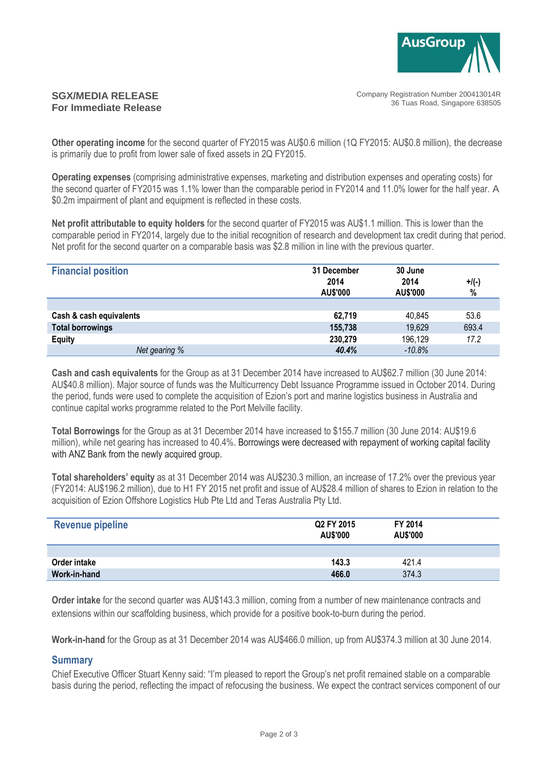

#### Company Registration Number 200413014R 36 Tuas Road, Singapore 638505

#### **SGX/MEDIA RELEASE For Immediate Release**

**Other operating income** for the second quarter of FY2015 was AU\$0.6 million (1Q FY2015: AU\$0.8 million), the decrease is primarily due to profit from lower sale of fixed assets in 2Q FY2015.

**Operating expenses** (comprising administrative expenses, marketing and distribution expenses and operating costs) for the second quarter of FY2015 was 1.1% lower than the comparable period in FY2014 and 11.0% lower for the half year. A \$0.2m impairment of plant and equipment is reflected in these costs.

**Net profit attributable to equity holders** for the second quarter of FY2015 was AU\$1.1 million. This is lower than the comparable period in FY2014, largely due to the initial recognition of research and development tax credit during that period. Net profit for the second quarter on a comparable basis was \$2.8 million in line with the previous quarter.

| <b>Financial position</b> | 31 December<br>2014<br>AU\$'000 | 30 June<br>2014<br>AU\$'000 | $+$ /(-)<br>% |
|---------------------------|---------------------------------|-----------------------------|---------------|
|                           |                                 |                             |               |
| Cash & cash equivalents   | 62.719                          | 40,845                      | 53.6          |
| <b>Total borrowings</b>   | 155,738                         | 19,629                      | 693.4         |
| <b>Equity</b>             | 230,279                         | 196,129                     | 17.2          |
| Net gearing %             | 40.4%                           | $-10.8%$                    |               |

**Cash and cash equivalents** for the Group as at 31 December 2014 have increased to AU\$62.7 million (30 June 2014: AU\$40.8 million). Major source of funds was the Multicurrency Debt Issuance Programme issued in October 2014. During the period, funds were used to complete the acquisition of Ezion's port and marine logistics business in Australia and continue capital works programme related to the Port Melville facility.

**Total Borrowings** for the Group as at 31 December 2014 have increased to \$155.7 million (30 June 2014: AU\$19.6 million), while net gearing has increased to 40.4%. Borrowings were decreased with repayment of working capital facility with ANZ Bank from the newly acquired group.

**Total shareholders' equity** as at 31 December 2014 was AU\$230.3 million, an increase of 17.2% over the previous year (FY2014: AU\$196.2 million), due to H1 FY 2015 net profit and issue of AU\$28.4 million of shares to Ezion in relation to the acquisition of Ezion Offshore Logistics Hub Pte Ltd and Teras Australia Pty Ltd.

| <b>Revenue pipeline</b> | Q2 FY 2015<br>AU\$'000 | FY 2014<br>AU\$'000 |  |
|-------------------------|------------------------|---------------------|--|
|                         |                        |                     |  |
| Order intake            | 143.3                  | 421.4               |  |
| Work-in-hand            | 466.0                  | 374.3               |  |

**Order intake** for the second quarter was AU\$143.3 million, coming from a number of new maintenance contracts and extensions within our scaffolding business, which provide for a positive book-to-burn during the period.

**Work-in-hand** for the Group as at 31 December 2014 was AU\$466.0 million, up from AU\$374.3 million at 30 June 2014.

#### **Summary**

Chief Executive Officer Stuart Kenny said: "I'm pleased to report the Group's net profit remained stable on a comparable basis during the period, reflecting the impact of refocusing the business. We expect the contract services component of our